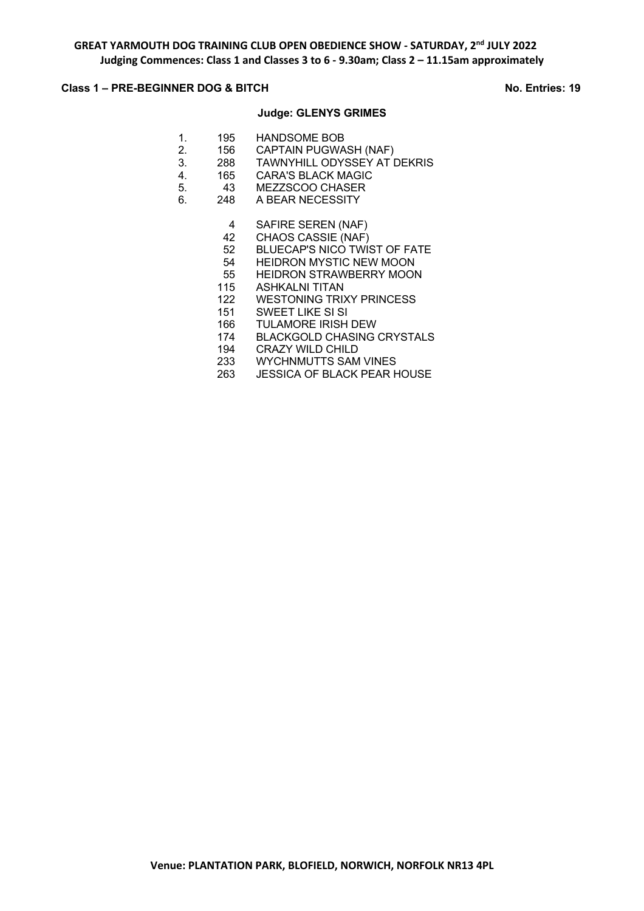## **Class 1 – PRE-BEGINNER DOG & BITCH No. Entries: 19**

### **Judge: GLENYS GRIMES**

| $\mathbf{1}$ . | 195 | <b>HANDSOME BOB</b> |
|----------------|-----|---------------------|
| 2.             | 156 | CAPTAIN PUGWASH (NA |

- 156 CAPTAIN PUGWASH (NAF)<br>288 TAWNYHILL ODYSSEY AT I
- 3. 288 TAWNYHILL ODYSSEY AT DEKRIS<br>4. 165 CARA'S BLACK MAGIC
- 4. 165 CARA'S BLACK MAGIC<br>5. 43 MEZZSCOO CHASER
- 5. 43 MEZZSCOO CHASER 6. 248 A BEAR NECESSITY
	- - 4 SAFIRE SEREN (NAF)
		- 42 CHAOS CASSIE (NAF)
		- 52 BLUECAP'S NICO TWIST OF FATE
		- 54 HEIDRON MYSTIC NEW MOON 55 HEIDRON STRAWBERRY MOON
		- 115 ASHKALNI TITAN
		- 122 WESTONING TRIXY PRINCESS
		- 151 SWEET LIKE SI SI
		- 166 TULAMORE IRISH DEW
		- 174 BLACKGOLD CHASING CRYSTALS
		- 194 CRAZY WILD CHILD
		- 233 WYCHNMUTTS SAM VINES
		- 263 JESSICA OF BLACK PEAR HOUSE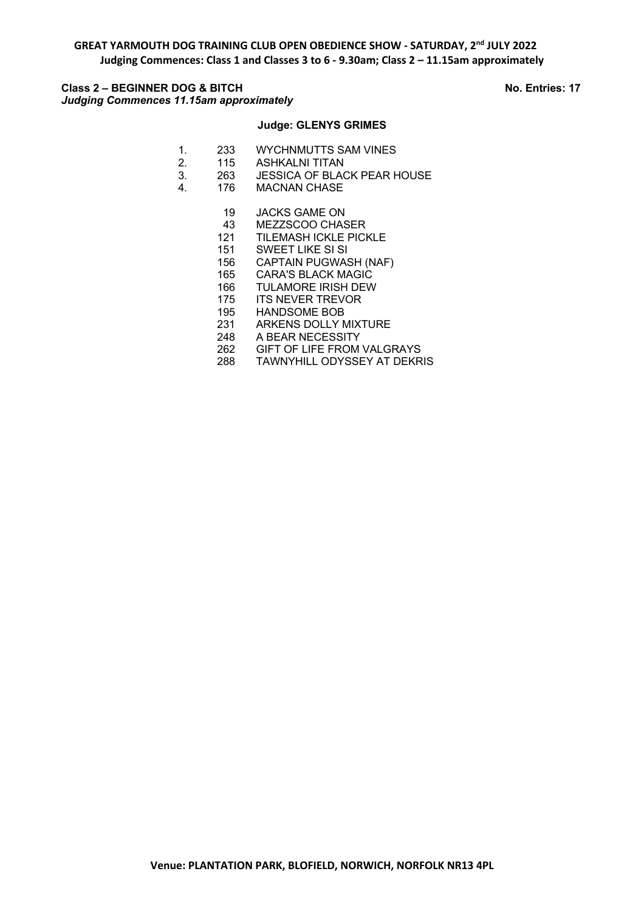**GREAT YARMOUTH DOG TRAINING CLUB OPEN OBEDIENCE SHOW - SATURDAY, 2nd JULY 2022 Judging Commences: Class 1 and Classes 3 to 6 - 9.30am; Class 2 – 11.15am approximately**

# **Class 2 – BEGINNER DOG & BITCH No. Entries: 17** *Judging Commences 11.15am approximately*

# **Judge: GLENYS GRIMES**

- 1. 233 WYCHNMUTTS SAM VINES
- 2. 115 ASHKALNI TITAN
- 3. 263 JESSICA OF BLACK PEAR HOUSE
- 4. 176 MACNAN CHASE
	- 19 JACKS GAME ON
	- 43 MEZZSCOO CHASER
	- 121 TILEMASH ICKLE PICKLE
	- 151 SWEET LIKE SI SI
	- 156 CAPTAIN PUGWASH (NAF)
	- 165 CARA'S BLACK MAGIC
	- 166 TULAMORE IRISH DEW
	- 175 ITS NEVER TREVOR
	- 195 HANDSOME BOB
	- 231 ARKENS DOLLY MIXTURE
	- 248 A BEAR NECESSITY
	- 262 GIFT OF LIFE FROM VALGRAYS
	- 288 TAWNYHILL ODYSSEY AT DEKRIS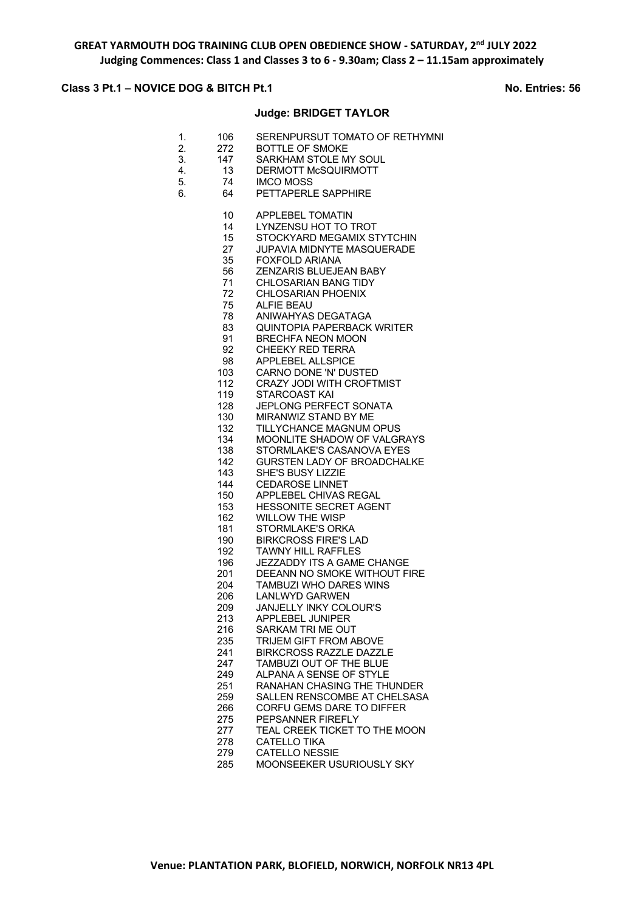### **Class 3 Pt.1 – NOVICE DOG & BITCH Pt.1 No. Entries: 56**

### **Judge: BRIDGET TAYLOR**

- 1. 106 SERENPURSUT TOMATO OF RETHYMNI
- 2. 272 BOTTLE OF SMOKE
- 3. 147 SARKHAM STOLE MY SOUL<br>4. 13 DERMOTT McSQUIRMOTT
	- DERMOTT McSQUIRMOTT
- 5. 74 IMCO MOSS
- 6. 64 PETTAPERLE SAPPHIRE
	- 10 APPLEBEL TOMATIN
	- 14 LYNZENSU HOT TO TROT
	- 15 STOCKYARD MEGAMIX STYTCHIN
	- 27 JUPAVIA MIDNYTE MASQUERADE<br>35 FOXFOLD ARIANA
	- 35 FOXFOLD ARIANA<br>56 7ENZARIS BLUEJE
	- 56 ZENZARIS BLUEJEAN BABY
	- 71 CHLOSARIAN BANG TIDY
	- 72 CHLOSARIAN PHOENIX
	- 75 ALFIE BEAU
	- 78 ANIWAHYAS DEGATAGA
	- 83 QUINTOPIA PAPERBACK WRITER
	- 91 BRECHFA NEON MOON<br>92 CHEEKY RED TERRA CHEEKY RED TERRA
	- 98 APPLEBEL ALLSPICE
	-
	- 103 CARNO DONE 'N' DUSTED<br>112 CRAZY JODI WITH CROFTI CRAZY JODI WITH CROFTMIST
	- 119 STARCOAST KAI
	- 128 JEPLONG PERFECT SONATA
	- 130 MIRANWIZ STAND BY ME
	- 132 TILLYCHANCE MAGNUM OPUS
	- 134 MOONLITE SHADOW OF VALGRAYS 138 STORMLAKE'S CASANOVA EYES
	- 142 GURSTEN LADY OF BROADCHALKE
	-
	- 143 SHE'S BUSY LIZZIE<br>144 CEDAROSE LINNET **CEDAROSE LINNET**
	- 150 APPLEBEL CHIVAS REGAL
	- 153 HESSONITE SECRET AGENT
	- 162 WILLOW THE WISP<br>181 STORMLAKE'S ORK
	- STORMLAKE'S ORKA
	- 190 BIRKCROSS FIRE'S LAD
	- 192 TAWNY HILL RAFFLES<br>196 JEZZADDY ITS A GAME
	- JEZZADDY ITS A GAME CHANGE
	- 201 DEEANN NO SMOKE WITHOUT FIRE
	- 204 TAMBUZI WHO DARES WINS 206 LANLWYD GARWEN
	- 209 JANJELLY INKY COLOUR'S
	- 213 APPLEBEL JUNIPER
		-
	- 216 SARKAM TRI ME OUT<br>235 TRIJEM GIFT FROM A **TRIJEM GIFT FROM ABOVE**
	- 241 BIRKCROSS RAZZLE DAZZLE
	- 247 TAMBUZI OUT OF THE BLUE
	- 249 ALPANA A SENSE OF STYLE
	- 251 RANAHAN CHASING THE THUNDER
	- 259 SALLEN RENSCOMBE AT CHELSASA 266 CORFU GEMS DARE TO DIFFER
	- 275 PEPSANNER FIREFLY
		-
	- 277 TEAL CREEK TICKET TO THE MOON<br>278 CATELLO TIKA CATELLO TIKA
	- 279 CATELLO NESSIE
	- 285 MOONSEEKER USURIOUSLY SKY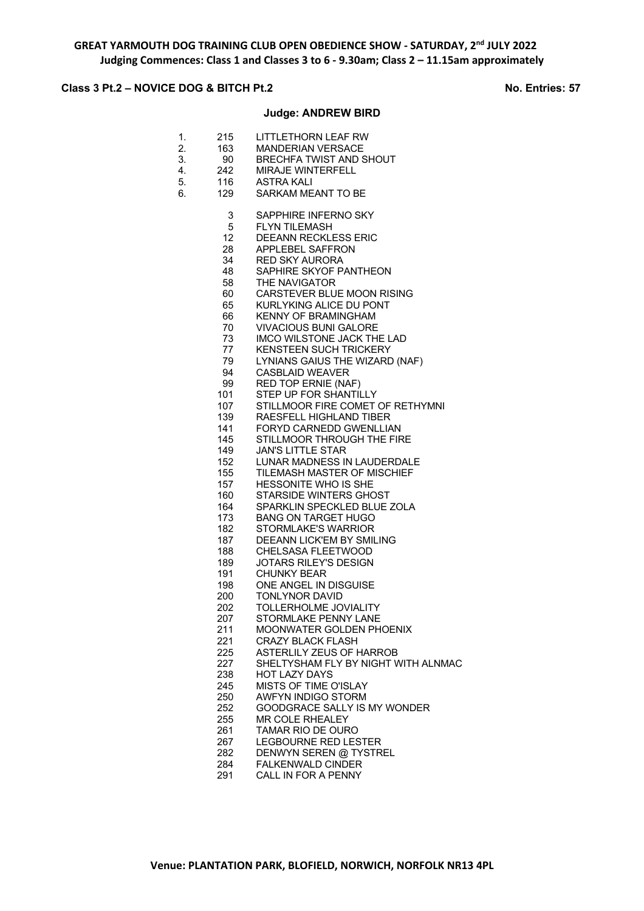# **Class 3 Pt.2 – NOVICE DOG & BITCH Pt.2** No. Entries: 57

## **Judge: ANDREW BIRD**

| 1. | 215             | LITTLETHORN LEAF RW                                  |
|----|-----------------|------------------------------------------------------|
| 2. | 163             | <b>MANDERIAN VERSACE</b>                             |
| 3. | 90              | <b>BRECHFA TWIST AND SHOUT</b>                       |
| 4. | 242             | <b>MIRAJE WINTERFELL</b>                             |
| 5. | 116             | ASTRA KALI                                           |
| 6. | 129             | SARKAM MEANT TO BE                                   |
|    |                 |                                                      |
|    | 3               | SAPPHIRE INFERNO SKY                                 |
|    | 5               | FLYN TILEMASH                                        |
|    | 12 <sub>2</sub> | <b>DEEANN RECKLESS ERIC</b>                          |
|    | 28              | APPLEBEL SAFFRON                                     |
|    | 34              | <b>RED SKY AURORA</b>                                |
|    | 48              | SAPHIRE SKYOF PANTHEON                               |
|    | 58              | THE NAVIGATOR                                        |
|    | 60              | CARSTEVER BLUE MOON RISING                           |
|    | 65              | <b>KURLYKING ALICE DU PONT</b>                       |
|    | 66              | <b>KENNY OF BRAMINGHAM</b>                           |
|    | 70              | <b>VIVACIOUS BUNI GALORE</b>                         |
|    | 73              | IMCO WILSTONE JACK THE LAD                           |
|    | 77              | <b>KENSTEEN SUCH TRICKERY</b>                        |
|    | 79              | LYNIANS GAIUS THE WIZARD (NAF)                       |
|    | 94              | <b>CASBLAID WEAVER</b>                               |
|    | 99<br>101       | <b>RED TOP ERNIE (NAF)</b><br>STEP UP FOR SHANTILLY  |
|    | 107             | STILLMOOR FIRE COMET OF RETHYMNI                     |
|    | 139             | RAESFELL HIGHLAND TIBER                              |
|    | 141             | <b>FORYD CARNEDD GWENLLIAN</b>                       |
|    | 145             | STILLMOOR THROUGH THE FIRE                           |
|    | 149             | <b>JAN'S LITTLE STAR</b>                             |
|    | 152             | LUNAR MADNESS IN LAUDERDALE                          |
|    | 155             | TILEMASH MASTER OF MISCHIEF                          |
|    | 157             | <b>HESSONITE WHO IS SHE</b>                          |
|    | 160             | STARSIDE WINTERS GHOST                               |
|    | 164             | SPARKLIN SPECKLED BLUE ZOLA                          |
|    | 173             | <b>BANG ON TARGET HUGO</b>                           |
|    | 182             | <b>STORMLAKE'S WARRIOR</b>                           |
|    | 187             | <b>DEEANN LICK'EM BY SMILING</b>                     |
|    | 188             | CHELSASA FLEETWOOD                                   |
|    | 189             | <b>JOTARS RILEY'S DESIGN</b>                         |
|    | 191             | <b>CHUNKY BEAR</b>                                   |
|    | 198             | ONE ANGEL IN DISGUISE                                |
|    | 200             | <b>TONLYNOR DAVID</b>                                |
|    | 202             | TOLLERHOLME JOVIALITY                                |
|    | 207             | STORMLAKE PENNY LANE                                 |
|    | 211<br>221      | MOONWATER GOLDEN PHOENIX<br><b>CRAZY BLACK FLASH</b> |
|    | 225             | ASTERLILY ZEUS OF HARROB                             |
|    | 227             | SHELTYSHAM FLY BY NIGHT WITH ALNMAC                  |
|    | 238             | <b>HOT LAZY DAYS</b>                                 |
|    | 245             | <b>MISTS OF TIME O'ISLAY</b>                         |
|    | 250             | AWFYN INDIGO STORM                                   |
|    | 252             | GOODGRACE SALLY IS MY WONDER                         |
|    | 255             | MR COLE RHEALEY                                      |
|    | 261             | <b>TAMAR RIO DE OURO</b>                             |
|    | 267             | <b>LEGBOURNE RED LESTER</b>                          |
|    | 282             | DENWYN SEREN @ TYSTREL                               |
|    | 284             | <b>FALKENWALD CINDER</b>                             |
|    | 291             | CALL IN FOR A PENNY                                  |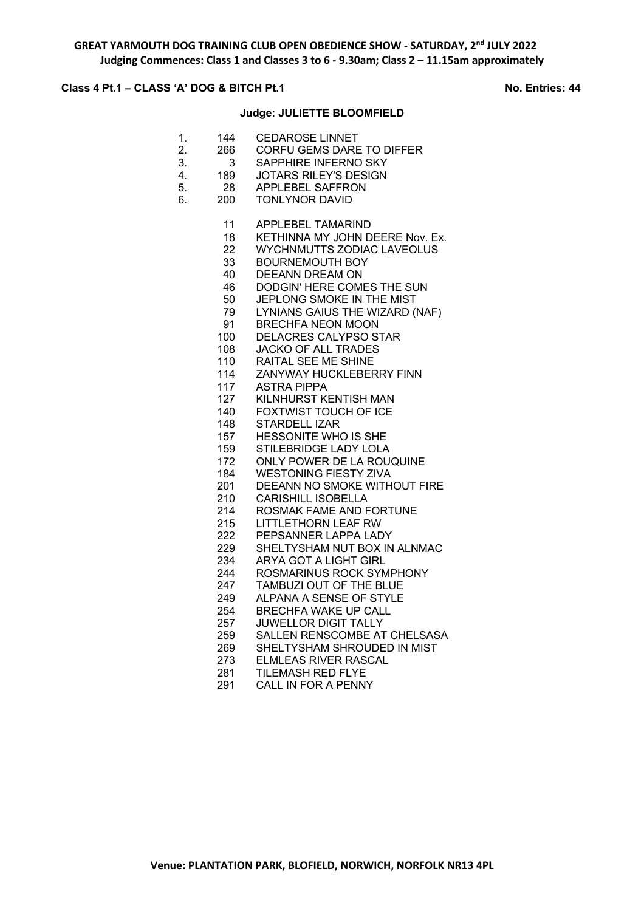# **Class 4 Pt.1 – CLASS 'A' DOG & BITCH Pt.1** No. Entries: 44

## **Judge: JULIETTE BLOOMFIELD**

| 11<br><b>APPLEBEL TAMARIND</b><br>18<br>22<br><b>WYCHNMUTTS ZODIAC LAVEOLUS</b><br>33<br><b>BOURNEMOUTH BOY</b><br>40<br><b>DEEANN DREAM ON</b><br>46<br>DODGIN' HERE COMES THE SUN<br>50<br>JEPLONG SMOKE IN THE MIST<br>79<br>LYNIANS GAIUS THE WIZARD (NAF)<br>91<br><b>BRECHFA NEON MOON</b><br><b>DELACRES CALYPSO STAR</b><br>100<br><b>JACKO OF ALL TRADES</b><br>108<br>110<br>RAITAL SEE ME SHINE<br>ZANYWAY HUCKLEBERRY FINN<br>114<br>117<br><b>ASTRA PIPPA</b><br>127<br>KILNHURST KENTISH MAN<br>FOXTWIST TOUCH OF ICE<br>140<br>148<br><b>STARDELL IZAR</b><br><b>HESSONITE WHO IS SHE</b><br>157<br>159<br>STILEBRIDGE LADY LOLA<br>ONLY POWER DE LA ROUQUINE<br>172<br>184<br><b>WESTONING FIESTY ZIVA</b><br>DEEANN NO SMOKE WITHOUT FIRE<br>201<br><b>CARISHILL ISOBELLA</b><br>210 | 1.<br>2.<br>3.<br>4.<br>5.<br>6. | 144<br>266<br>3<br>189<br>28<br>200 | <b>CEDAROSE LINNET</b><br>CORFU GEMS DARE TO DIFFER<br>SAPPHIRE INFERNO SKY<br><b>JOTARS RILEY'S DESIGN</b><br><b>APPLEBEL SAFFRON</b><br><b>TONLYNOR DAVID</b> |
|-------------------------------------------------------------------------------------------------------------------------------------------------------------------------------------------------------------------------------------------------------------------------------------------------------------------------------------------------------------------------------------------------------------------------------------------------------------------------------------------------------------------------------------------------------------------------------------------------------------------------------------------------------------------------------------------------------------------------------------------------------------------------------------------------------|----------------------------------|-------------------------------------|-----------------------------------------------------------------------------------------------------------------------------------------------------------------|
| 215<br><b>LITTLETHORN LEAF RW</b><br>222<br>PEPSANNER LAPPA LADY<br>229<br>SHELTYSHAM NUT BOX IN ALNMAC<br><b>ARYA GOT A LIGHT GIRL</b><br>234<br>244<br>ROSMARINUS ROCK SYMPHONY<br><b>TAMBUZI OUT OF THE BLUE</b><br>247<br>ALPANA A SENSE OF STYLE<br>249<br>254<br><b>BRECHFA WAKE UP CALL</b><br>257<br><b>JUWELLOR DIGIT TALLY</b><br>259<br>SHELTYSHAM SHROUDED IN MIST<br>269<br>273<br><b>ELMLEAS RIVER RASCAL</b><br><b>TILEMASH RED FLYE</b><br>281                                                                                                                                                                                                                                                                                                                                        |                                  | 214                                 | KETHINNA MY JOHN DEERE Nov. Ex.<br>ROSMAK FAME AND FORTUNE<br>SALLEN RENSCOMBE AT CHELSASA                                                                      |

CALL IN FOR A PENNY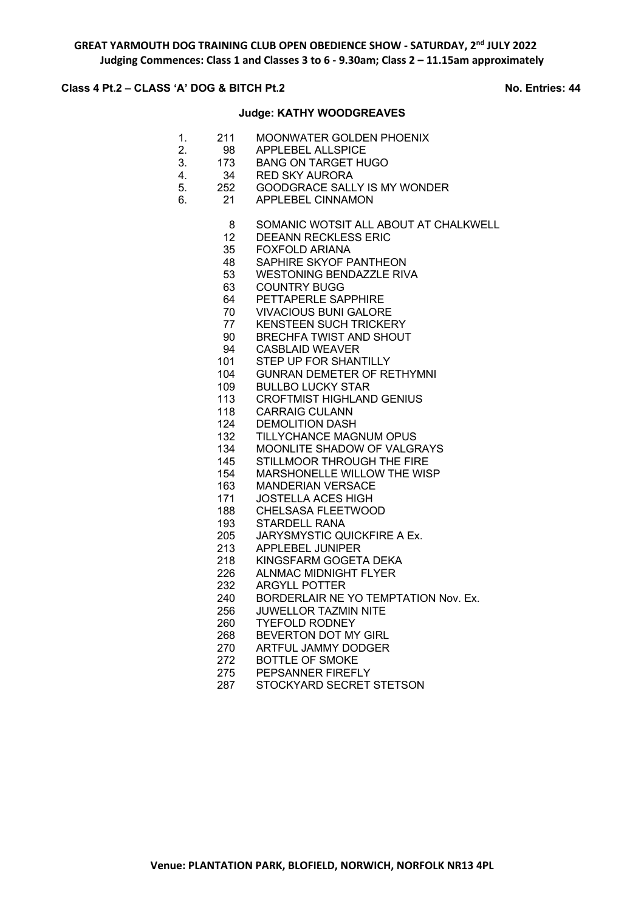## **Class 4 Pt.2 – CLASS 'A' DOG & BITCH Pt.2** NO. Entries: 44

### **Judge: KATHY WOODGREAVES**

- 1. 211 MOONWATER GOLDEN PHOENIX<br>2 98 APPLEBEL ALLSPICE
- 2. 98 APPLEBEL ALLSPICE
- 3. 173 BANG ON TARGET HUGO<br>4. 34 RED SKY AURORA
- 4. 34 RED SKY AURORA<br>5. 252 GOODGRACE SALI
- 5. 252 GOODGRACE SALLY IS MY WONDER<br>6. 21 APPLEBEL CINNAMON
- 6. 21 APPLEBEL CINNAMON
	- SOMANIC WOTSIT ALL ABOUT AT CHALKWELL
	- DEEANN RECKLESS ERIC
	- FOXFOLD ARIANA
	- SAPHIRE SKYOF PANTHEON
	- WESTONING BENDAZZLE RIVA
	- COUNTRY BUGG
	- PETTAPERLE SAPPHIRE
	- VIVACIOUS BUNI GALORE
	- KENSTEEN SUCH TRICKERY
	- BRECHFA TWIST AND SHOUT
	- CASBLAID WEAVER
	- STEP UP FOR SHANTILLY
	- GUNRAN DEMETER OF RETHYMNI
	- BULLBO LUCKY STAR
	- CROFTMIST HIGHLAND GENIUS
	- CARRAIG CULANN
	- DEMOLITION DASH
	- TILLYCHANCE MAGNUM OPUS
	- MOONLITE SHADOW OF VALGRAYS
	- STILLMOOR THROUGH THE FIRE
	- MARSHONELLE WILLOW THE WISP
	- MANDERIAN VERSACE
	- JOSTELLA ACES HIGH
	- CHELSASA FLEETWOOD
	- STARDELL RANA
	- JARYSMYSTIC QUICKFIRE A Ex.
	- APPLEBEL JUNIPER
	- KINGSFARM GOGETA DEKA
	- ALNMAC MIDNIGHT FLYER
	- ARGYLL POTTER
	- BORDERLAIR NE YO TEMPTATION Nov. Ex.
	- JUWELLOR TAZMIN NITE
	- TYEFOLD RODNEY
	- BEVERTON DOT MY GIRL
	- ARTFUL JAMMY DODGER
	- BOTTLE OF SMOKE
	- PEPSANNER FIREFLY
	- STOCKYARD SECRET STETSON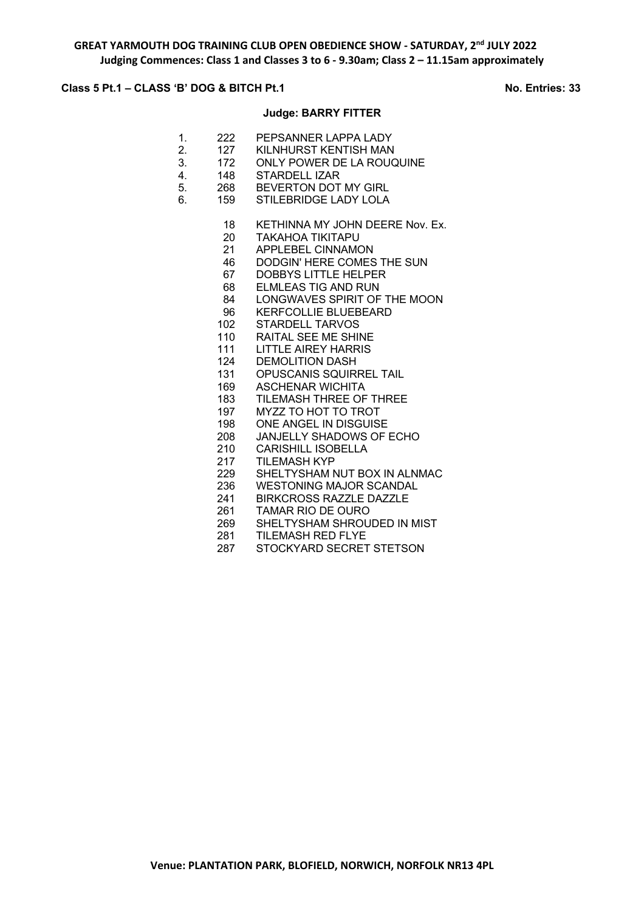## **Class 5 Pt.1 – CLASS 'B' DOG & BITCH Pt.1 No. Entries: 33**

# **Judge: BARRY FITTER**

- 1. 222 PEPSANNER LAPPA LADY<br>2 127 KII NHURST KENTISH MAN
- 127 KILNHURST KENTISH MAN
- 3. 172 ONLY POWER DE LA ROUQUINE
- 4. 148 STARDELL IZAR
- 5. 268 BEVERTON DOT MY GIRL
- 6. 159 STILEBRIDGE LADY LOLA
	- 18 KETHINNA MY JOHN DEERE Nov. Ex.
	- TAKAHOA TIKITAPU
	- APPLEBEL CINNAMON
	- DODGIN' HERE COMES THE SUN
	- DOBBYS LITTLE HELPER
	- ELMLEAS TIG AND RUN
	- LONGWAVES SPIRIT OF THE MOON
	- KERFCOLLIE BLUEBEARD
	- STARDELL TARVOS
	- RAITAL SEE ME SHINE
	- LITTLE AIREY HARRIS
	- DEMOLITION DASH
	- OPUSCANIS SQUIRREL TAIL
	- ASCHENAR WICHITA
	- TILEMASH THREE OF THREE
	- MYZZ TO HOT TO TROT
	- ONE ANGEL IN DISGUISE
	- JANJELLY SHADOWS OF ECHO
	- CARISHILL ISOBELLA
	- TILEMASH KYP
	- SHELTYSHAM NUT BOX IN ALNMAC
	- WESTONING MAJOR SCANDAL
	- BIRKCROSS RAZZLE DAZZLE
	- TAMAR RIO DE OURO
	- SHELTYSHAM SHROUDED IN MIST
	- TILEMASH RED FLYE
	- STOCKYARD SECRET STETSON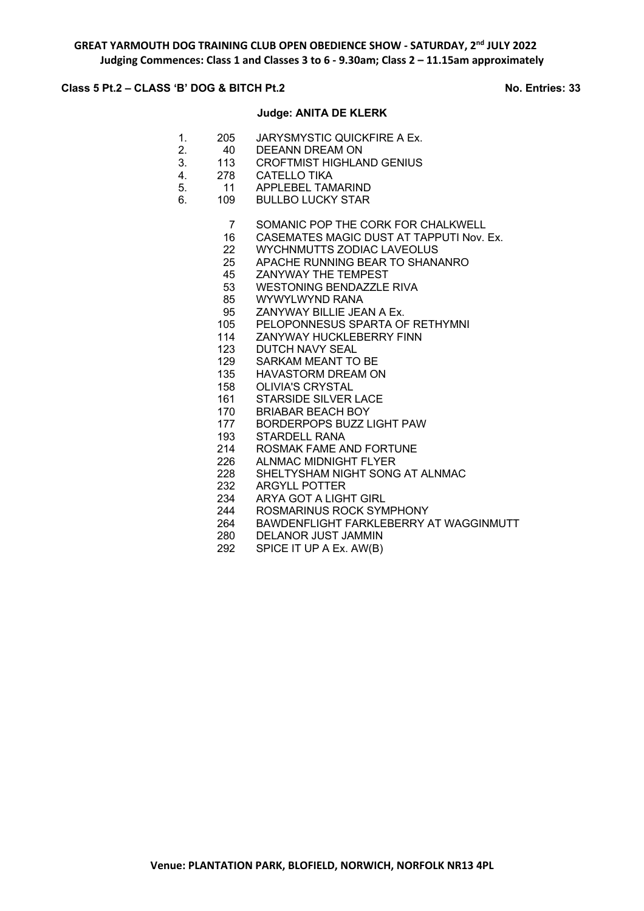## **Class 5 Pt.2 – CLASS 'B' DOG & BITCH Pt.2 No. Entries: 33**

### **Judge: ANITA DE KLERK**

- 1. 205 JARYSMYSTIC QUICKFIRE A Ex.<br>2 40 DEFANN DREAM ON
	- 2. 40 DEEANN DREAM ON
- 3. 113 CROFTMIST HIGHLAND GENIUS
- 4. 278 CATELLO TIKA<br>5. 11 APPLEBEL TAM
- 5. 11 APPLEBEL TAMARIND
- 6. 109 BULLBO LUCKY STAR
	- SOMANIC POP THE CORK FOR CHALKWELL
	- CASEMATES MAGIC DUST AT TAPPUTI Nov. Ex.
	- WYCHNMUTTS ZODIAC LAVEOLUS
	- APACHE RUNNING BEAR TO SHANANRO
	- ZANYWAY THE TEMPEST
	- WESTONING BENDAZZLE RIVA
	- WYWYLWYND RANA
	- ZANYWAY BILLIE JEAN A Ex.
	- PELOPONNESUS SPARTA OF RETHYMNI
	- ZANYWAY HUCKLEBERRY FINN
	- DUTCH NAVY SEAL
	- SARKAM MEANT TO BE
	- HAVASTORM DREAM ON
	- OLIVIA'S CRYSTAL
	- STARSIDE SILVER LACE
	- BRIABAR BEACH BOY
	- BORDERPOPS BUZZ LIGHT PAW
	- STARDELL RANA
	- ROSMAK FAME AND FORTUNE
	- ALNMAC MIDNIGHT FLYER
	- SHELTYSHAM NIGHT SONG AT ALNMAC
	- ARGYLL POTTER
	- ARYA GOT A LIGHT GIRL
	- ROSMARINUS ROCK SYMPHONY
	- 264 BAWDENFLIGHT FARKLEBERRY AT WAGGINMUTT<br>280 DELANOR JUST JAMMIN
		- DELANOR JUST JAMMIN
	- SPICE IT UP A Ex. AW(B)